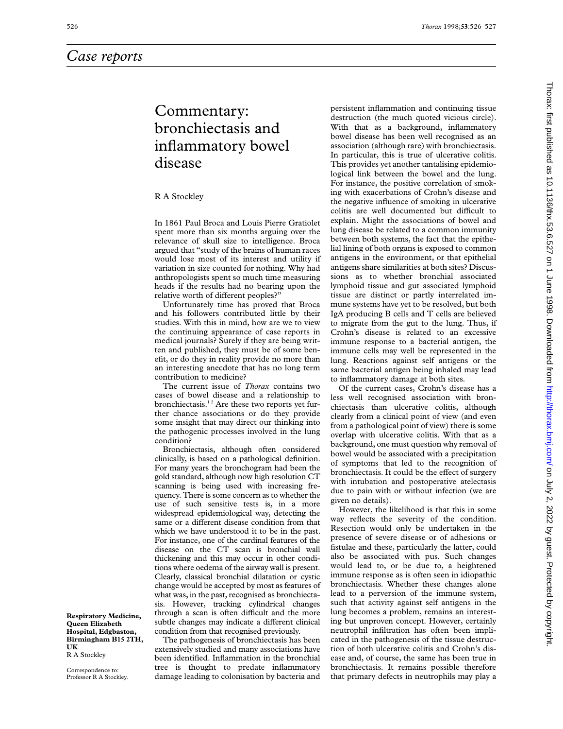# Commentary: bronchiectasis and inflammatory bowel disease

### R A Stockley

In 1861 Paul Broca and Louis Pierre Gratiolet spent more than six months arguing over the relevance of skull size to intelligence. Broca argued that "study of the brains of human races would lose most of its interest and utility if variation in size counted for nothing. Why had anthropologists spent so much time measuring heads if the results had no bearing upon the relative worth of different peoples?"

Unfortunately time has proved that Broca and his followers contributed little by their studies. With this in mind, how are we to view the continuing appearance of case reports in medical journals? Surely if they are being written and published, they must be of some benefit, or do they in reality provide no more than an interesting anecdote that has no long term contribution to medicine?

The current issue of *Thorax* contains two cases of bowel disease and a relationship to bronchiectasis.<sup>12</sup> Are these two reports yet further chance associations or do they provide some insight that may direct our thinking into the pathogenic processes involved in the lung condition?

Bronchiectasis, although often considered clinically, is based on a pathological definition. For many years the bronchogram had been the gold standard, although now high resolution CT scanning is being used with increasing frequency. There is some concern as to whether the use of such sensitive tests is, in a more widespread epidemiological way, detecting the same or a different disease condition from that which we have understood it to be in the past. For instance, one of the cardinal features of the disease on the CT scan is bronchial wall thickening and this may occur in other conditions where oedema of the airway wall is present. Clearly, classical bronchial dilatation or cystic change would be accepted by most as features of what was, in the past, recognised as bronchiectasis. However, tracking cylindrical changes through a scan is often difficult and the more subtle changes may indicate a different clinical condition from that recognised previously.

The pathogenesis of bronchiectasis has been extensively studied and many associations have been identified. Inflammation in the bronchial tree is thought to predate inflammatory damage leading to colonisation by bacteria and persistent inflammation and continuing tissue destruction (the much quoted vicious circle). With that as a background, inflammatory bowel disease has been well recognised as an association (although rare) with bronchiectasis. In particular, this is true of ulcerative colitis. This provides yet another tantalising epidemiological link between the bowel and the lung. For instance, the positive correlation of smoking with exacerbations of Crohn's disease and the negative influence of smoking in ulcerative colitis are well documented but difficult to explain. Might the associations of bowel and lung disease be related to a common immunity between both systems, the fact that the epithelial lining of both organs is exposed to common antigens in the environment, or that epithelial antigens share similarities at both sites? Discussions as to whether bronchial associated lymphoid tissue and gut associated lymphoid tissue are distinct or partly interrelated immune systems have yet to be resolved, but both IgA producing B cells and T cells are believed to migrate from the gut to the lung. Thus, if Crohn's disease is related to an excessive immune response to a bacterial antigen, the immune cells may well be represented in the lung. Reactions against self antigens or the same bacterial antigen being inhaled may lead to inflammatory damage at both sites.

Of the current cases, Crohn's disease has a less well recognised association with bronchiectasis than ulcerative colitis, although clearly from a clinical point of view (and even from a pathological point of view) there is some overlap with ulcerative colitis. With that as a background, one must question why removal of bowel would be associated with a precipitation of symptoms that led to the recognition of bronchiectasis. It could be the effect of surgery with intubation and postoperative atelectasis due to pain with or without infection (we are given no details).

However, the likelihood is that this in some way reflects the severity of the condition. Resection would only be undertaken in the presence of severe disease or of adhesions or fistulae and these, particularly the latter, could also be associated with pus. Such changes would lead to, or be due to, a heightened immune response as is often seen in idiopathic bronchiectasis. Whether these changes alone lead to a perversion of the immune system, such that activity against self antigens in the lung becomes a problem, remains an interesting but unproven concept. However, certainly neutrophil infiltration has often been implicated in the pathogenesis of the tissue destruction of both ulcerative colitis and Crohn's disease and, of course, the same has been true in bronchiectasis. It remains possible therefore that primary defects in neutrophils may play a

**Respiratory Medicine, Queen Elizabeth Hospital, Edgbaston, Birmingham B15 2TH, UK** R A Stockley

Correspondence to: Professor R A Stockley.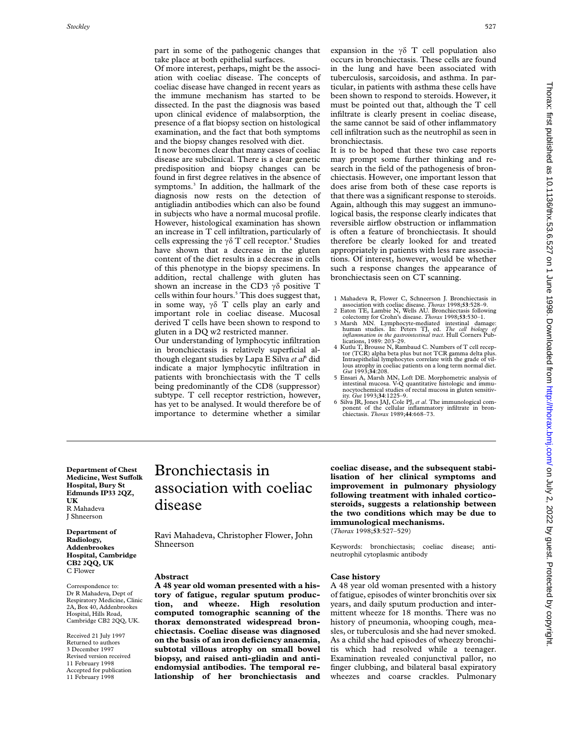part in some of the pathogenic changes that take place at both epithelial surfaces.

Of more interest, perhaps, might be the association with coeliac disease. The concepts of coeliac disease have changed in recent years as the immune mechanism has started to be dissected. In the past the diagnosis was based upon clinical evidence of malabsorption, the presence of a flat biopsy section on histological examination, and the fact that both symptoms and the biopsy changes resolved with diet.

It now becomes clear that many cases of coeliac disease are subclinical. There is a clear genetic predisposition and biopsy changes can be found in first degree relatives in the absence of symptoms.<sup>3</sup> In addition, the hallmark of the diagnosis now rests on the detection of antigliadin antibodies which can also be found in subjects who have a normal mucosal profile. However, histological examination has shown an increase in T cell infiltration, particularly of cells expressing the  $\gamma\delta$  T cell receptor.<sup>4</sup> Studies have shown that a decrease in the gluten content of the diet results in a decrease in cells of this phenotype in the biopsy specimens. In addition, rectal challenge with gluten has shown an increase in the CD3  $\gamma\delta$  positive T cells within four hours.<sup>5</sup> This does suggest that, in some way,  $\gamma\delta$  T cells play an early and important role in coeliac disease. Mucosal derived T cells have been shown to respond to gluten in a DQ w2 restricted manner.

Our understanding of lymphocytic infiltration in bronchiectasis is relatively superficial although elegant studies by Lapa E Silva *et al*<sup>6</sup> did indicate a major lymphocytic infiltration in patients with bronchiectasis with the T cells being predominantly of the CD8 (suppressor) subtype. T cell receptor restriction, however, has yet to be analysed. It would therefore be of importance to determine whether a similar

expansion in the  $\gamma\delta$  T cell population also occurs in bronchiectasis. These cells are found in the lung and have been associated with tuberculosis, sarcoidosis, and asthma. In particular, in patients with asthma these cells have been shown to respond to steroids. However, it must be pointed out that, although the T cell infiltrate is clearly present in coeliac disease, the same cannot be said of other inflammatory cell infiltration such as the neutrophil as seen in bronchiectasis.

It is to be hoped that these two case reports may prompt some further thinking and research in the field of the pathogenesis of bronchiectasis. However, one important lesson that does arise from both of these case reports is that there was a significant response to steroids. Again, although this may suggest an immunological basis, the response clearly indicates that reversible airflow obstruction or inflammation is often a feature of bronchiectasis. It should therefore be clearly looked for and treated appropriately in patients with less rare associations. Of interest, however, would be whether such a response changes the appearance of bronchiectasis seen on CT scanning.

- 1 Mahadeva R, Flower C, Schneerson J. Bronchiectasis in association with coeliac disease. *Thorax* 1998;**53**:528–9. 2 Eaton TE, Lambie N, Wells AU. Bronchiectasis following
- colectomy for Crohn's disease. *Thorax* 1998;**53**:530–1.
- 3 Marsh MN. Lymphocyte-mediated intestinal damage: human studies. In: Peters TJ, ed. *The cell biology of inflammation in the gastrointestinal tract*. Hull Corners Pub-lications, 1989: 203–29. 4 Kutlu T, Brousse N, Rambaud C. Numbers of T cell recep-
- tor (TCR) alpha beta plus but not TCR gamma delta plus. Intraepithelial lymphocytes correlate with the grade of lous atrophy in coeliac patients on a long term normal diet. *Gut* 1993;**34**:208.
- 5 Ensari A, Marsh MN, Loft DE. Morphometric analysis of intestinal mucosa. V-Q quantitative histologic and immunocytochemical studies of rectal mucosa in gluten sensitiv-<br>ity. *Gut* 1993;**34**:1225–9.<br>6 Silva JR, Jones JAJ, Cole PJ, *et al*. The immunological com-
- ponent of the cellular inflammatory infiltrate in bronchiectasis. *Thorax* 1989;**44**:668–73.

**Department of Chest**  $M$ **edicine, West Suffolk Hospital, Bury St Edmunds IP33 2QZ, UK** R Mahadeva J Shneerson

**Department of Radiology, Addenbrookes Hospital, Cambridge CB2 2QQ, UK** C Flower

Correspondence to: Dr R Mahadeva, Dept of Respiratory Medicine, Clinic 2A, Box 40, Addenbrookes Hospital, Hills Road, Cambridge CB2 2QQ, UK.

Received 21 July 1997 Returned to authors 3 December 1997 Revised version received 11 February 1998 Accepted for publication 11 February 1998

# Bronchiectasis in association with coeliac disease

Ravi Mahadeva, Christopher Flower, John Shneerson

### **Abstract**

**A 48 year old woman presented with a history of fatigue, regular sputum production, and wheeze. High resolution computed tomographic scanning of the thorax demonstrated widespread bronchiectasis. Coeliac disease was diagnosed on the basis of an iron deficiency anaemia, subtotal villous atrophy on small bowel biopsy, and raised anti-gliadin and antiendomysial antibodies. The temporal relationship of her bronchiectasis and**

**coeliac disease, and the subsequent stabilisation of her clinical symptoms and improvement in pulmonary physiology following treatment with inhaled corticosteroids, suggests a relationship between the two conditions which may be due to immunological mechanisms.** (*Thorax* 1998;**53**:527–529)

Keywords: bronchiectasis; coeliac disease; antineutrophil cytoplasmic antibody

### **Case history**

A 48 year old woman presented with a history of fatigue, episodes of winter bronchitis over six years, and daily sputum production and intermittent wheeze for 18 months. There was no history of pneumonia, whooping cough, measles, or tuberculosis and she had never smoked. As a child she had episodes of wheezy bronchitis which had resolved while a teenager. Examination revealed conjunctival pallor, no finger clubbing, and bilateral basal expiratory wheezes and coarse crackles. Pulmonary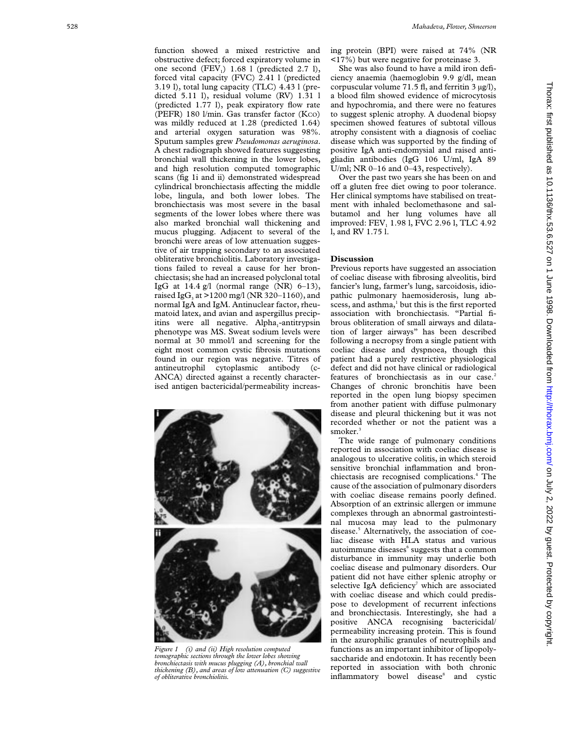function showed a mixed restrictive and obstructive defect; forced expiratory volume in one second (FEV 1) 1.68 l (predicted 2.7 l), forced vital capacity (FVC) 2.41 l (predicted 3.19 l), total lung capacity (TLC) 4.43 l (predicted 5.11 l), residual volume (RV) 1.31 l (predicted 1.77 l), peak expiratory flow rate (PEFR) 180 l/min. Gas transfer factor (Kco) was mildly reduced at 1.28 (predicted 1.64) and arterial oxygen saturation was 98%. Sputum samples grew *Pseudomonas aeruginosa* . A chest radiograph showed features suggesting bronchial wall thickening in the lower lobes, and high resolution computed tomographic scans (fig 1i and ii) demonstrated widespread cylindrical bronchiectasis affecting the middle lobe, lingula, and both lower lobes. The bronchiectasis was most severe in the basal segments of the lower lobes where there was also marked bronchial wall thickening and mucus plugging. Adjacent to several of the bronchi were areas of low attenuation suggestive of air trapping secondary to an associated obliterative bronchiolitis. Laboratory investigations failed to reveal a cause for her bronchiectasis; she had an increased polyclonal total IgG at  $14.4$  g/l (normal range (NR)  $6-13$ ), raised Ig $G_3$  at  $>$ 1200 mg/l (NR 320–1160), and normal IgA and IgM. Antinuclear factor, rheumatoid latex, and avian and aspergillus precipitins were all negative. Alpha<sub>1</sub>-antitrypsin phenotype was MS. Sweat sodium levels were normal at 30 mmol/l and screening for the eight most common cystic fibrosis mutations found in our region was negative. Titres of antineutrophil cytoplasmic antibody (c-ANCA) directed against a recently characterised antigen bactericidal/permeability increas-



*Figure 1 (i) and (ii) High resolution computed tomographic sections through the lower lobes showing bronchiectasis with mucus plugging (A), bronchial wall thickening (B), and areas of low attenuation (C) suggestive of obliterative bronchiolitis.*

ing protein (BPI) were raised at 74% (NR <17%) but were negative for proteinase 3.

She was also found to have a mild iron deficiency anaemia (haemoglobin 9.9 g/dl, mean corpuscular volume 71.5 fl, and ferritin 3  $\mu$ g/l), a blood film showed evidence of microcytosis and hypochromia, and there were no features to suggest splenic atrophy. A duodenal biopsy specimen showed features of subtotal villous atrophy consistent with a diagnosis of coeliac disease which was supported by the finding of positive IgA anti-endomysial and raised antigliadin antibodies (IgG 106 U/ml, IgA 89 U/ml; NR 0–16 and 0–43, respectively).

Over the past two years she has been on and off a gluten free diet owing to poor tolerance. Her clinical symptoms have stabilised on treatment with inhaled beclomethasone and salbutamol and her lung volumes have all improved: FEV <sup>1</sup> 1.98 l, FVC 2.96 l, TLC 4.92 l, and RV 1.75 l.

### **Discussion**

Previous reports have suggested an association of coeliac disease with fibrosing alveolitis, bird fancier's lung, farmer's lung, sarcoidosis, idiopathic pulmonary haemosiderosis, lung abscess, and asthma,<sup>1</sup> but this is the first reported association with bronchiectasis. "Partial fibrous obliteration of small airways and dilatation of larger airways" has been described following a necropsy from a single patient with coeliac disease and dyspnoea, though this patient had a purely restrictive physiological defect and did not have clinical or radiological features of bronchiectasis as in our case. 2 Changes of chronic bronchitis have been reported in the open lung biopsy specimen from another patient with diffuse pulmonary disease and pleural thickening but it was not recorded whether or not the patient was a smoker. 3

The wide range of pulmonary conditions reported in association with coeliac disease is analogous to ulcerative colitis, in which steroid sensitive bronchial inflammation and bronchiectasis are recognised complications.<sup>4</sup> The cause of the association of pulmonary disorders with coeliac disease remains poorly defined. Absorption of an extrinsic allergen or immune complexes through an abnormal gastrointestinal mucosa may lead to the pulmonary disease. <sup>5</sup> Alternatively, the association of coeliac disease with HLA status and various autoimmune diseases <sup>6</sup> suggests that a common disturbance in immunity may underlie both coeliac disease and pulmonary disorders. Our patient did not have either splenic atrophy or selective IgA deficiency<sup>7</sup> which are associated with coeliac disease and which could predispose to development of recurrent infections and bronchiectasis. Interestingly, she had a positive ANCA recognising bactericidal/ permeability increasing protein. This is found in the azurophilic granules of neutrophils and functions as an important inhibitor of lipopolysaccharide and endotoxin. It has recently been reported in association with both chronic inflammatory bowel disease <sup>8</sup> and cystic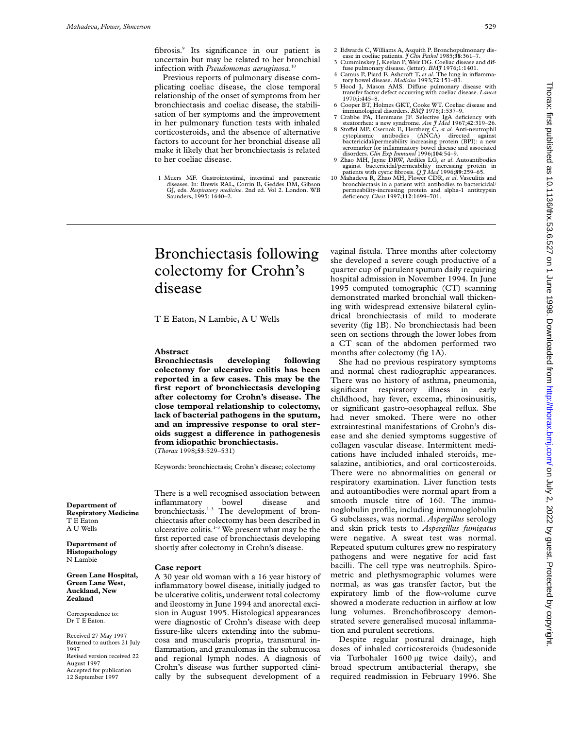fibrosis.9 Its significance in our patient is uncertain but may be related to her bronchial infection with *Pseudomonas aeruginosa*. 10

Previous reports of pulmonary disease complicating coeliac disease, the close temporal relationship of the onset of symptoms from her bronchiectasis and coeliac disease, the stabilisation of her symptoms and the improvement in her pulmonary function tests with inhaled corticosteroids, and the absence of alternative factors to account for her bronchial disease all make it likely that her bronchiectasis is related to her coeliac disease.

1 Muers MF. Gastrointestinal, intestinal and pancreatic diseases. In: Brewis RAL, Corrin B, Geddes DM, Gibson GJ, eds. *Respiratory medicine*. 2nd ed. Vol 2. London. WB Saunders, 1995: 1640–2.

- 2 Edwards C, Williams A, Asquith P. Bronchopulmonary dis-<br>ease in coeliac patients. *J Clin Pathol* 1985;**38**:361-7.<br>3 Cumminskey J, Keelan P, Weir DG. Coeliac disease and dif-
- fuse pulmonary disease. (letter). *BMJ* 1976;1:1401.
- 4 Camus P, Piard F, Ashcroft T, *et al*. The lung in inflamma-tory bowel disease. *Medicine* 1993;**72**:151–83.
- 5 Hood J, Mason AMS. Diffuse pulmonary disease with transfer factor defect occurring with coeliac disease. *Lancet* 1970;i:445–8.
- 6 Cooper BT, Holmes GKT, Cooke WT. Coeliac disease and immunological disorders. *BMJ* 1978;1:537–9. 7 Crabbe PA, Heremans JF. Selective IgA deficiency with
- steatorrhea: a new syndrome. *Am J Med* 1967;**42**:319–26.
- 8 Stoffel MP, Csernok E, Herzberg Č, *et al.* Anti-neutrophil cytoplasmic antibodies (ANCA) directed against bactericidal/permeability increasing protein (BPI): a new seromarker for inflammatory bowel disease and associat
- 9 Zhao MH, Jayne DRW, Ardiles LG, *et al.* Autoantibodies<br>against bactericidal/permeability increasing protein in<br>patients with cystic fibrosis. Q *J* Med 1996;89:259-65.<br>10 Mahadeva R, Zhao MH, Flower CDR, *et al.* Vascul
- bronchiectasis in a patient with antibodies to bactericidal/ permeability-increasing protein and alpha-1 antitrypsin deficiency. *Chest* 1997;**112**:1699–701.

# Bronchiectasis following colectomy for Crohn's disease

T E Eaton, N Lambie, A U Wells

**Abstract** developing following **colectomy for ulcerative colitis has been reported in a few cases. This may be the first report of bronchiectasis developing after colectomy for Crohn's disease. The close temporal relationship to colectomy, lack of bacterial pathogens in the sputum, and an impressive response to oral steroids suggest a diVerence in pathogenesis from idiopathic bronchiectasis.** (*Thorax* 1998;**53**:529–531)

Keywords: bronchiectasis; Crohn's disease; colectomy

There is a well recognised association between inflammatory bowel disease and bronchiectasis.<sup>1-3</sup> The development of bronchiectasis after colectomy has been described in ulcerative colitis. $1-3$  We present what may be the first reported case of bronchiectasis developing shortly after colectomy in Crohn's disease.

#### **Case report**

A 30 year old woman with a 16 year history of inflammatory bowel disease, initially judged to be ulcerative colitis, underwent total colectomy and ileostomy in June 1994 and anorectal excision in August 1995. Histological appearances were diagnostic of Crohn's disease with deep fissure-like ulcers extending into the submucosa and muscularis propria, transmural inflammation, and granulomas in the submucosa and regional lymph nodes. A diagnosis of Crohn's disease was further supported clinically by the subsequent development of a

vaginal fistula. Three months after colectomy she developed a severe cough productive of a quarter cup of purulent sputum daily requiring hospital admission in November 1994. In June 1995 computed tomographic (CT) scanning demonstrated marked bronchial wall thickening with widespread extensive bilateral cylindrical bronchiectasis of mild to moderate severity (fig 1B). No bronchiectasis had been seen on sections through the lower lobes from a CT scan of the abdomen performed two months after colectomy (fig 1A).

She had no previous respiratory symptoms and normal chest radiographic appearances. There was no history of asthma, pneumonia, significant respiratory illness in early childhood, hay fever, excema, rhinosinusitis, or significant gastro-oesophageal reflux. She had never smoked. There were no other extraintestinal manifestations of Crohn's disease and she denied symptoms suggestive of collagen vascular disease. Intermittent medications have included inhaled steroids, mesalazine, antibiotics, and oral corticosteroids. There were no abnormalities on general or respiratory examination. Liver function tests and autoantibodies were normal apart from a smooth muscle titre of 160. The immunoglobulin profile, including immunoglobulin G subclasses, was normal. *Aspergillus* serology and skin prick tests to *Aspergillus fumigatus* were negative. A sweat test was normal. Repeated sputum cultures grew no respiratory pathogens and were negative for acid fast bacilli. The cell type was neutrophils. Spirometric and plethysmographic volumes were normal, as was gas transfer factor, but the expiratory limb of the flow-volume curve showed a moderate reduction in airflow at low lung volumes. Bronchofibroscopy demonstrated severe generalised mucosal inflammation and purulent secretions.

Despite regular postural drainage, high doses of inhaled corticosteroids (budesonide via Turbohaler 1600 µg twice daily), and broad spectrum antibacterial therapy, she required readmission in February 1996. She

**Department of Respiratory Medicine** T E Eaton A U Wells

**Department of Histopathology** N Lambie

**Green Lane Hospital, Green Lane West, Auckland, New Zealand**

Correspondence to: Dr T E Eaton.

Received 27 May 1997 Returned to authors 21 July 1997 Revised version received 22 August 1997 Accepted for publication 12 September 1997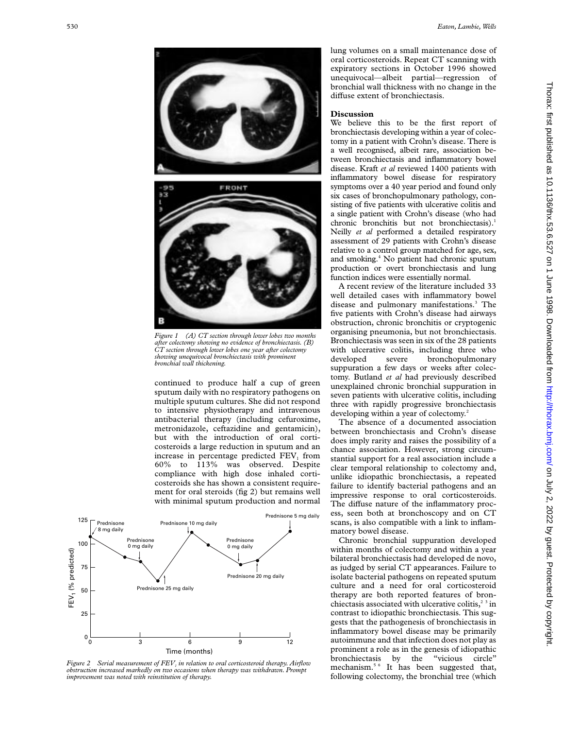

*Figure 1 (A) CT section through lower lobes two months after colectomy showing no evidence of bronchiectasis. (B) CT section through lower lobes one year after colectomy showing unequivocal bronchiectasis with prominent bronchial wall thickening.*

continued to produce half a cup of green sputum daily with no respiratory pathogens on multiple sputum cultures. She did not respond to intensive physiotherapy and intravenous antibacterial therapy (including cefuroxime, metronidazole, ceftazidine and gentamicin), but with the introduction of oral corticosteroids a large reduction in sputum and an increase in percentage predicted  $FEV<sub>1</sub>$  from 60% to 113% was observed. Despite compliance with high dose inhaled corticosteroids she has shown a consistent requirement for oral steroids (fig 2) but remains well with minimal sputum production and normal



*Figure 2 Serial measurement of FEV<sub>1</sub> in relation to oral corticosteroid therapy. Airflow obstruction increased markedly on two occasions when therapy was withdrawn. Prompt improvement was noted with reinstitution of therapy.*

lung volumes on a small maintenance dose of oral corticosteroids. Repeat CT scanning with expiratory sections in October 1996 showed unequivocal—albeit partial—regression of bronchial wall thickness with no change in the diffuse extent of bronchiectasis.

## **Discussion**

We believe this to be the first report of bronchiectasis developing within a year of colectomy in a patient with Crohn's disease. There is a well recognised, albeit rare, association between bronchiectasis and inflammatory bowel disease. Kraft *et al* reviewed 1400 patients with inflammatory bowel disease for respiratory symptoms over a 40 year period and found only six cases of bronchopulmonary pathology, consisting of five patients with ulcerative colitis and a single patient with Crohn's disease (who had chronic bronchitis but not bronchiectasis).<sup>1</sup> Neilly *et al* performed a detailed respiratory assessment of 29 patients with Crohn's disease relative to a control group matched for age, sex, and smoking.4 No patient had chronic sputum production or overt bronchiectasis and lung function indices were essentially normal.

A recent review of the literature included 33 well detailed cases with inflammatory bowel disease and pulmonary manifestations.<sup>3</sup> The five patients with Crohn's disease had airways obstruction, chronic bronchitis or cryptogenic organising pneumonia, but not bronchiectasis. Bronchiectasis was seen in six of the 28 patients with ulcerative colitis, including three who developed severe bronchopulmonary suppuration a few days or weeks after colectomy. Butland *et al* had previously described unexplained chronic bronchial suppuration in seven patients with ulcerative colitis, including three with rapidly progressive bronchiectasis developing within a year of colectomy.<sup>2</sup>

The absence of a documented association between bronchiectasis and Crohn's disease does imply rarity and raises the possibility of a chance association. However, strong circumstantial support for a real association include a clear temporal relationship to colectomy and, unlike idiopathic bronchiectasis, a repeated failure to identify bacterial pathogens and an impressive response to oral corticosteroids. The diffuse nature of the inflammatory process, seen both at bronchoscopy and on CT scans, is also compatible with a link to inflammatory bowel disease.

Chronic bronchial suppuration developed within months of colectomy and within a year bilateral bronchiectasis had developed de novo, as judged by serial CT appearances. Failure to isolate bacterial pathogens on repeated sputum culture and a need for oral corticosteroid therapy are both reported features of bronchiectasis associated with ulcerative colitis, $2^3$  in contrast to idiopathic bronchiectasis. This suggests that the pathogenesis of bronchiectasis in inflammatory bowel disease may be primarily autoimmune and that infection does not play as prominent a role as in the genesis of idiopathic bronchiectasis by the "vicious circle" mechanism.5 6 It has been suggested that, following colectomy, the bronchial tree (which